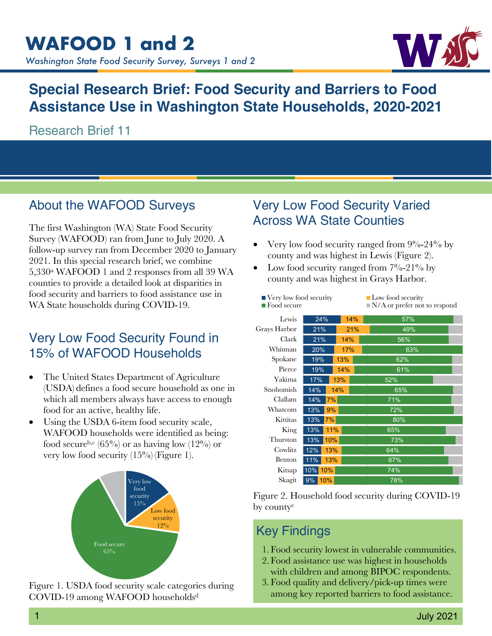

# **Special Research Brief: Food Security and Barriers to Food Assistance Use in Washington State Households, 2020-2021**

Research Brief 11

#### About the WAFOOD Surveys

The first Washington (WA) State Food Security Survey (WAFOOD) ran from June to July 2020. A follow-up survey ran from December 2020 to January 2021. In this special research brief, we combine 5,330a WAFOOD 1 and 2 responses from all 39 WA counties to provide a detailed look at disparities in food security and barriers to food assistance use in WA State households during COVID-19.

# Very Low Food Security Found in 15% of WAFOOD Households

- The United States Department of Agriculture (USDA) defines a food secure household as one in which all members always have access to enough food for an active, healthy life.
- Using the USDA 6-item food security scale, WAFOOD households were identified as being: food secure<sup>b,c</sup> (65%) or as having low  $(12\%)$  or very low food security  $(15\%)$  (Figure 1).



Figure 1. USDA food security scale categories during COVID-19 among WAFOOD householdsd

#### Very Low Food Security Varied Across WA State Counties

- Very low food security ranged from  $9\%$ -24% by county and was highest in Lewis (Figure 2).
- Low food security ranged from  $7\%$ -21% by county and was highest in Grays Harbor.

| Very low food security<br>$\blacksquare$ Food secure |              |     | $\blacksquare$ Low food security<br>$\blacksquare$ N/A or prefer not to respond |  |
|------------------------------------------------------|--------------|-----|---------------------------------------------------------------------------------|--|
| Lewis                                                | 24%          | 14% | 57%                                                                             |  |
| Grays Harbor                                         | 21%          | 21% | 49%                                                                             |  |
| Clark                                                | 21%          | 14% | 56%                                                                             |  |
| Whitman                                              | 20%          | 17% | 63%                                                                             |  |
| Spokane                                              | 19%          | 13% | 62%                                                                             |  |
| Pierce                                               | 19%          | 14% | 61%                                                                             |  |
| Yakima                                               | 17%          | 13% | 52%                                                                             |  |
| Snohomish                                            | 14%          | 14% | 65%                                                                             |  |
| Clallam                                              | 7%<br>14%    |     | 71%                                                                             |  |
| Whatcom                                              | 13%<br>9%    |     | 72%                                                                             |  |
| Kittitas                                             | 7%<br>13%    |     | 80%                                                                             |  |
| King                                                 | 11%<br>13%   |     | 65%                                                                             |  |
| Thurston                                             | 10%<br>13%   |     | 73%                                                                             |  |
| Cowlitz                                              | 12%<br>13%   |     | 64%                                                                             |  |
| Benton                                               | 11%<br>13%   |     | 67%                                                                             |  |
| Kitsap                                               | 10%<br>10%   |     | 74%                                                                             |  |
| Skagit                                               | $9\%$<br>10% |     | 78%                                                                             |  |

Figure 2. Household food security during COVID-19 by countye

## Key Findings

- 1. Food security lowest in vulnerable communities.
- 2. Food assistance use was highest in households with children and among BIPOC respondents.
- 3. Food quality and delivery/pick-up times were among key reported barriers to food assistance.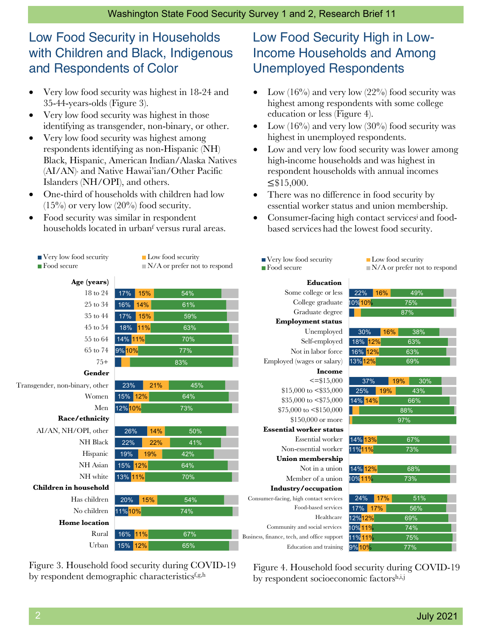# Low Food Security in Households with Children and Black, Indigenous and Respondents of Color

- Very low food security was highest in 18-24 and 35-44-years-olds (Figure 3).
- Very low food security was highest in those identifying as transgender, non-binary, or other.
- Very low food security was highest among respondents identifying as non-Hispanic (NH) Black, Hispanic, American Indian/Alaska Natives (AI/AN) and Native Hawai'ian/Other Pacific Islanders (NH/OPI), and others.
- One-third of households with children had low  $(15\%)$  or very low  $(20\%)$  food security.
- Food security was similar in respondent households located in urbanf versus rural areas.





Figure 3. Household food security during COVID-19 by respondent demographic characteristicsf,g,h

12%

65%

15%

Urban

## Low Food Security High in Low-Income Households and Among Unemployed Respondents

- Low  $(16\%)$  and very low  $(22\%)$  food security was highest among respondents with some college education or less (Figure 4).
- Low  $(16\%)$  and very low  $(30\%)$  food security was highest in unemployed respondents.
- Low and very low food security was lower among high-income households and was highest in respondent households with annual incomes  $≤$ \$15,000.
- There was no difference in food security by essential worker status and union membership.
- Consumer-facing high contact servicesi and foodbased services had the lowest food security.



Figure 4. Household food security during COVID-19 by respondent socioeconomic factorsh,i,j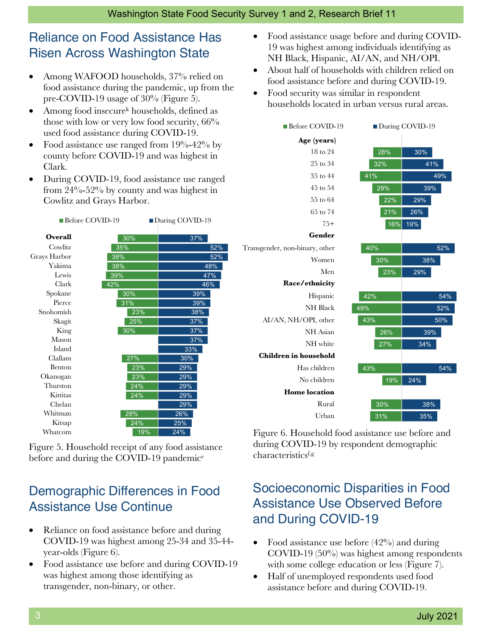# Reliance on Food Assistance Has Risen Across Washington State

- Among WAFOOD households, 37% relied on food assistance during the pandemic, up from the pre-COVID-19 usage of 30% (Figure 5).
- Among food insecure<sup>k</sup> households, defined as those with low or very low food security, 66% used food assistance during COVID-19.
- Food assistance use ranged from  $19\% 42\%$  by county before COVID-19 and was highest in Clark.
- During COVID-19, food assistance use ranged from 24%-52% by county and was highest in Cowlitz and Grays Harbor.



Figure 5. Household receipt of any food assistance before and during the COVID-19 pandemic<sup>e</sup>

# Demographic Differences in Food Assistance Use Continue

- Reliance on food assistance before and during COVID-19 was highest among 25-34 and 35-44 year-olds (Figure 6).
- Food assistance use before and during COVID-19 was highest among those identifying as transgender, non-binary, or other.
- Food assistance usage before and during COVID-19 was highest among individuals identifying as NH Black, Hispanic, AI/AN, and NH/OPI.
- About half of households with children relied on food assistance before and during COVID-19.
- Food security was similar in respondent households located in urban versus rural areas.



Figure 6. Household food assistance use before and during COVID-19 by respondent demographic characteristicsf,g

## Socioeconomic Disparities in Food Assistance Use Observed Before and During COVID-19

- Food assistance use before  $(42\%)$  and during COVID-19 (50%) was highest among respondents with some college education or less (Figure 7).
- Half of unemployed respondents used food assistance before and during COVID-19.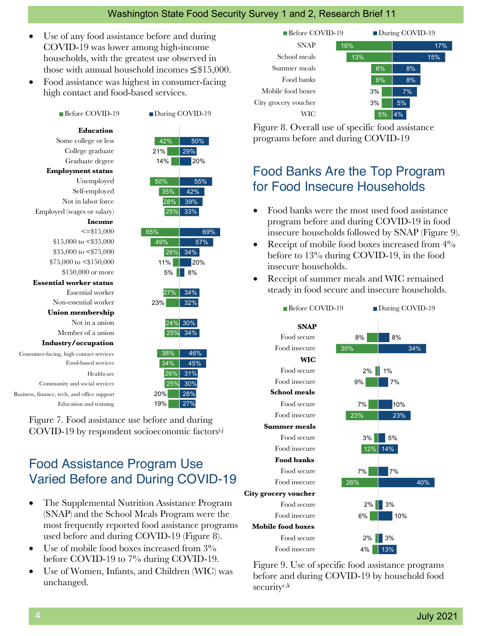#### Washington State Food Security Survey 1 and 2, Research Brief 11

- Use of any food assistance before and during COVID-19 was lower among high-income households, with the greatest use observed in those with annual household incomes  $\leq$ \$15,000.
- Food assistance was highest in consumer-facing high contact and food-based services.

#### Education **Education** Some college or less College graduate Graduate degree Employment status **Employment status** Unemployed Self-employed Not in labor force Employed (wages or salary) Income **Income**  $\leq$ =\$15.000 \$15,000 to <\$35,000 \$35,000 to <\$75,000 \$75,000 to <\$150,000 \$150,000 or more Essential worker status **Essential worker status** Essential worker Non-essential worker Union membership **Union membership** Not in a union Member of a union Industry/Occupation **Industry/occupation**Consumer-facing Consumer-facing, high contact services Food-based services Food-based services Healthcare Community and social Community and social services<br>Business, finance, tech, and office support Education and training Before COVID-19 During COVID-19 Healthcare<br>Education and training<br>Education and training<br>Education and training

42% 21% 14% 50% 35% 28% 25% 65% 49% 26% 34% 11% 5% 8% 27% 23% 24% 30% 25% 38% 34%  $|26\%|$ 25% 20% 19% 50%  $\sqrt{29\%}$ 20% 55% 42% 39% 33% 69% 57% 20% 34% 32% 34% 46% 45% 31% 30% 28% 27%

Figure 7. Food assistance use before and during COVID-19 by respondent socioeconomic factors<sup>i,j</sup>

### Food Assistance Program Use Varied Before and During COVID-19

- The Supplemental Nutrition Assistance Program (SNAP) and the School Meals Program were the most frequently reported food assistance programs used before and during COVID-19 (Figure 8).
- Use of mobile food boxes increased from  $3\%$ before COVID-19 to 7% during COVID-19.
- Use of Women, Infants, and Children (WIC) was unchanged.



Figure 8. Overall use of specific food assistance programs before and during COVID-19

## Food Banks Are the Top Program for Food Insecure Households

- Food banks were the most used food assistance program before and during COVID-19 in food insecure households followed by SNAP (Figure 9).
- Receipt of mobile food boxes increased from  $4\%$ before to 13% during COVID-19, in the food insecure households.
- Receipt of summer meals and WIC remained steady in food secure and insecure households.



Figure 9. Use of specific food assistance programs before and during COVID-19 by household food securityc,k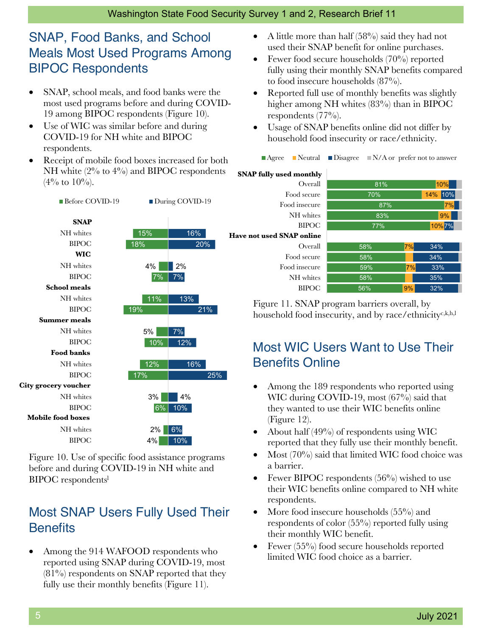# SNAP, Food Banks, and School Meals Most Used Programs Among BIPOC Respondents

- SNAP, school meals, and food banks were the most used programs before and during COVID-19 among BIPOC respondents (Figure 10).
- Use of WIC was similar before and during COVID-19 for NH white and BIPOC respondents.
- Receipt of mobile food boxes increased for both NH white (2% to 4%) and BIPOC respondents  $(4\% \text{ to } 10\%).$

Before COVID-19 During COVID-19

SNAP **SNAP** NH whites BIPOC WIC **WIC** NH whites **BIPOC** School meals **School meals** NH whites BIPOC Summer meals **Summer meals** NH whites BIPOC Food banks **Food banks** NH whites BIPOC City grocery voucher **City grocery voucher** NH whites BIPOC Mobile food boxes **Mobile food boxes** NH whites **BIPOC** 



4% 10%

Figure 10. Use of specific food assistance programs before and during COVID-19 in NH white and BIPOC respondentsl

### Most SNAP Users Fully Used Their **Benefits**

• Among the 914 WAFOOD respondents who reported using SNAP during COVID-19, most  $(81\%)$  respondents on SNAP reported that they fully use their monthly benefits (Figure 11).

- A little more than half (58%) said they had not used their SNAP benefit for online purchases.
- Fewer food secure households (70%) reported fully using their monthly SNAP benefits compared to food insecure households (87%).
- Reported full use of monthly benefits was slightly higher among NH whites (83%) than in BIPOC respondents  $(77\%)$ .
- Usage of SNAP benefits online did not differ by household food insecurity or race/ethnicity.
	- $\blacksquare$  Agree  $\blacksquare$  Neutral  $\blacksquare$  Disagree  $\blacksquare$  N/A or prefer not to answer

#### **SNAP fully used monthly**

|   | <b>SNAP fully used monthly</b> |
|---|--------------------------------|
|   | Overall                        |
|   | Food secure                    |
|   | Food insecure                  |
|   | NH whites                      |
|   | <b>BIPOC</b>                   |
|   | Have not used SNAP online      |
|   | Overall                        |
|   | Food secure                    |
|   | Food insecure                  |
|   | NH whites                      |
| 5 | <b>BIPOC</b>                   |
|   |                                |

| 81% |    |            |  |
|-----|----|------------|--|
| 70% |    | 10%<br>14% |  |
| 87% |    | 7%         |  |
| 83% |    | 9%         |  |
| 77% |    | 10%7%      |  |
|     |    |            |  |
| 58% | 7% | 34%        |  |
| 58% |    | 34%        |  |
| 59% | 7% | 33%        |  |
| 58% |    | 35%        |  |
| 56% | 9% | 32%        |  |

Figure 11. SNAP program barriers overall, by household food insecurity, and by race/ethnicityc,k,h,l

# Most WIC Users Want to Use Their Benefits Online

- Among the 189 respondents who reported using WIC during COVID-19, most (67%) said that they wanted to use their WIC benefits online (Figure 12).
- About half  $(49%)$  of respondents using WIC reported that they fully use their monthly benefit.
- Most (70%) said that limited WIC food choice was a barrier.
- Fewer BIPOC respondents  $(56\%)$  wished to use their WIC benefits online compared to NH white respondents.
- More food insecure households (55%) and respondents of color (55%) reported fully using their monthly WIC benefit.
- Fewer (55%) food secure households reported limited WIC food choice as a barrier.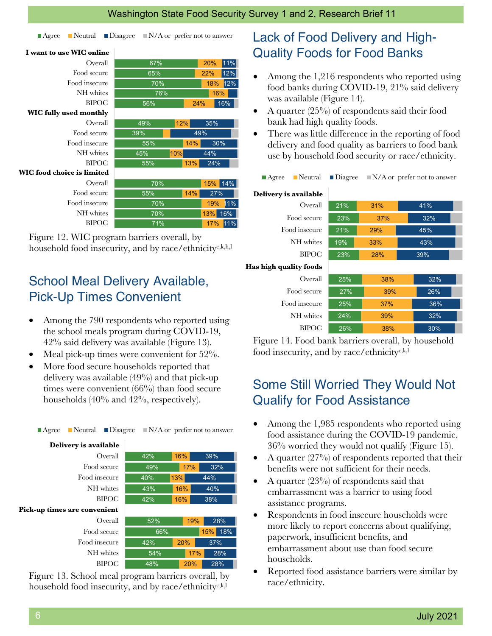| $\blacksquare$ Neutral<br>$\blacksquare$ Agree |     | $\Box$ Disagree $\Box$ N/A or prefer not to answer | Lack of Food Delivery and High-                                   |                        |     |                                            |
|------------------------------------------------|-----|----------------------------------------------------|-------------------------------------------------------------------|------------------------|-----|--------------------------------------------|
| I want to use WIC online                       |     |                                                    | <b>Quality Foods for Food Banks</b>                               |                        |     |                                            |
| Overall                                        | 67% | 11%<br>20%                                         |                                                                   |                        |     |                                            |
| Food secure                                    | 65% | 12%<br>22%                                         | Among the 1,216 respondents who reported usin<br>$\bullet$        |                        |     |                                            |
| Food insecure                                  | 70% | 18% 12%                                            | food banks during COVID-19, 21% said delivery                     |                        |     |                                            |
| NH whites                                      | 76% | 16%                                                | was available (Figure 14).                                        |                        |     |                                            |
| <b>BIPOC</b>                                   | 56% | 24%<br>$16\%$                                      |                                                                   |                        |     |                                            |
| <b>WIC fully used monthly</b>                  |     |                                                    | A quarter $(25\%)$ of respondents said their food<br>$\bullet$    |                        |     |                                            |
| Overall                                        | 49% | 12%<br>35%                                         | bank had high quality foods.                                      |                        |     |                                            |
| Food secure                                    | 39% | 49%                                                | There was little difference in the reporting of food<br>$\bullet$ |                        |     |                                            |
| Food insecure                                  | 55% | 30%<br>14%                                         | delivery and food quality as barriers to food bank                |                        |     |                                            |
| NH whites                                      | 45% | 10%<br>44%                                         | use by household food security or race/ethnicity.                 |                        |     |                                            |
| <b>BIPOC</b>                                   | 55% | 13%<br>24%                                         |                                                                   |                        |     |                                            |
| <b>WIC</b> food choice is limited              |     |                                                    | $\blacksquare$ Neutral<br>$\blacksquare$ Agree                    | $\blacksquare$ Diagree |     | $\blacksquare$ N/A or prefer not to answer |
| Overall                                        | 70% | 15% 14%                                            |                                                                   |                        |     |                                            |
| Food secure                                    | 55% | 14%<br>27%                                         | Delivery is available                                             |                        |     |                                            |
| Food insecure                                  | 70% | 19%<br>11%                                         | Overall                                                           | 21%                    | 31% | 41%                                        |
| NH whites                                      | 70% | 16%<br>13%                                         | Food secure                                                       | 23%                    | 37% | 32%                                        |
| <b>BIPOC</b>                                   | 71% | 17% 11%                                            | Food insecure                                                     | 21%                    | 29% | 45%                                        |

Figure 12. WIC program barriers overall, by household food insecurity, and by race/ethnicityc,k,h,l

### School Meal Delivery Available, Pick-Up Times Convenient

- Among the 790 respondents who reported using the school meals program during COVID-19, 42% said delivery was available (Figure 13).
- Meal pick-up times were convenient for  $52\%$ .
- More food secure households reported that delivery was available (49%) and that pick-up times were convenient (66%) than food secure households (40% and 42%, respectively).

Agree Neutral Disagree N/A or prefer not to answer

| Delivery is available        |     |            |            |
|------------------------------|-----|------------|------------|
| Overall                      | 42% | 16%        | 39%        |
| Food secure                  | 49% | 17%        | 32%        |
| Food insecure                | 40% | 13%        | 44%        |
| NH whites                    | 43% | 16%        | 40%        |
| <b>BIPOC</b>                 | 42% | 16%<br>38% |            |
| Pick-up times are convenient |     |            |            |
| Overall                      | 52% | 19%        | 28%        |
| Food secure                  | 66% |            | 18%<br>15% |
| Food insecure                | 42% | 20%        | 37%        |
| NH whites                    | 54% |            | 28%<br>17% |
| <b>BIPOC</b>                 | 48% | 20%        | 28%        |

Figure 13. School meal program barriers overall, by household food insecurity, and by race/ethnicity<sup>c,k,l</sup>

### Lack of Food Delivery and High-Quality Foods for Food Banks

- Among the 1,216 respondents who reported using food banks during COVID-19, 21% said delivery was available (Figure 14).
- A quarter (25%) of respondents said their food bank had high quality foods.
- There was little difference in the reporting of food delivery and food quality as barriers to food bank use by household food security or race/ethnicity.

|  |  | $\blacksquare$ Agree $\blacksquare$ Neutral $\blacksquare$ Diagree $\blacksquare$ N/A or prefer not to an |
|--|--|-----------------------------------------------------------------------------------------------------------|
|  |  |                                                                                                           |

#### Delivery is available **Delivery is available**

| Overall       | 21% | 31% | 41% |  |
|---------------|-----|-----|-----|--|
| Food secure   | 23% | 37% | 32% |  |
| Food insecure | 21% | 29% | 45% |  |
| NH whites     | 19% | 33% | 43% |  |
| <b>BIPOC</b>  | 23% | 28% | 39% |  |
|               |     |     |     |  |

#### Has high quality foods **Has high quality foods**

| Overall       | 25% | 38% | 32% |  |
|---------------|-----|-----|-----|--|
| Food secure   | 27% | 39% | 26% |  |
| Food insecure | 25% | 37% | 36% |  |
| NH whites     | 24% | 39% | 32% |  |
| <b>BIPOC</b>  | 26% | 38% | 30% |  |

Figure 14. Food bank barriers overall, by household food insecurity, and by race/ethnicity<sup>c,k,l</sup>

### Some Still Worried They Would Not Qualify for Food Assistance

- Among the 1,985 respondents who reported using food assistance during the COVID-19 pandemic, 36% worried they would not qualify (Figure 15).
- A quarter  $(27\%)$  of respondents reported that their benefits were not sufficient for their needs.
- A quarter (23%) of respondents said that embarrassment was a barrier to using food assistance programs.
- Respondents in food insecure households were more likely to report concerns about qualifying, paperwork, insufficient benefits, and embarrassment about use than food secure households.
- Reported food assistance barriers were similar by race/ethnicity.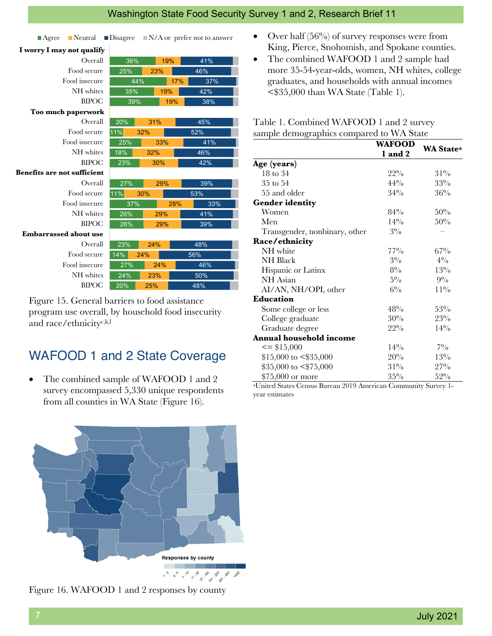#### Washington State Food Security Survey 1 and 2, Research Brief 11

| $\blacksquare$ Neutral<br>$\blacksquare$ Agree |        |            |     | $\Box$ Disagree $\Box$ N/A or prefer not to answer |
|------------------------------------------------|--------|------------|-----|----------------------------------------------------|
| I worry I may not qualify                      |        |            |     |                                                    |
| Overall                                        | 36%    | 19%        |     | 41%                                                |
| Food secure                                    | 25%    | 23%        |     | 46%                                                |
| Food insecure                                  | 44%    |            | 17% | 37%                                                |
| NH whites                                      | 35%    | 19%        |     | 42%                                                |
| <b>BIPOC</b>                                   | 39%    |            | 19% | 38%                                                |
| Too much paperwork                             |        |            |     |                                                    |
| Overall                                        | 20%    | 31%        |     | 45%                                                |
| Food secure                                    | 11%    | 32%        |     | 52%                                                |
| Food insecure                                  | 25%    | 33%        |     | 41%                                                |
| NH whites                                      | 18%    | 32%<br>46% |     |                                                    |
| <b>BIPOC</b>                                   | 23%    | 30%        |     | 42%                                                |
| <b>Benefits are not sufficient</b>             |        |            |     |                                                    |
| Overall                                        | 27%    | 29%        |     | 39%                                                |
| Food secure                                    | 11%    | 30%        |     | 53%                                                |
| Food insecure                                  | 37%    |            | 28% | 33%                                                |
| NH whites                                      | 26%    | 29%        |     | 41%                                                |
| <b>BIPOC</b>                                   | 26%    | 29%        |     | 39%                                                |
| <b>Embarrassed about use</b>                   |        |            |     |                                                    |
| Overall                                        | 23%    | 24%        |     | 48%                                                |
| Food secure                                    | $14\%$ | 24%        |     | 56%                                                |
| Food insecure                                  | 27%    | 24%        |     | 46%                                                |
| NH whites                                      | 24%    | 23%        |     | 50%                                                |
| <b>BIPOC</b>                                   | 20%    | 25%        |     | 48%                                                |

Figure 15. General barriers to food assistance program use overall, by household food insecurity and race/ethnicityc,k,l

#### WAFOOD 1 and 2 State Coverage

• The combined sample of WAFOOD 1 and 2 survey encompassed 5,330 unique respondents from all counties in WA State (Figure 16).



Figure 16. WAFOOD 1 and 2 responses by county

- Over half  $(56\%)$  of survey responses were from King, Pierce, Snohomish, and Spokane counties.
- The combined WAFOOD 1 and 2 sample had more 35-54-year-olds, women, NH whites, college graduates, and households with annual incomes <\$35,000 than WA State (Table 1).

Table 1. Combined WAFOOD 1 and 2 survey sample demographics compared to WA State

|                                | <b>WAFOOD</b> | <b>WA State<sup>a</sup></b> |  |
|--------------------------------|---------------|-----------------------------|--|
|                                | 1 and 2       |                             |  |
| Age (years)                    |               |                             |  |
| 18 to 34                       | $22\%$        | $31\%$                      |  |
| 35 to 54                       | $44\%$        | 33%                         |  |
| 55 and older                   | $34\%$        | 36%                         |  |
| <b>Gender identity</b>         |               |                             |  |
| Women                          | $84\%$        | 50%                         |  |
| Men                            | $14\%$        | 50%                         |  |
| Transgender, nonbinary, other  | $3\%$         |                             |  |
| Race/ethnicity                 |               |                             |  |
| NH white                       | $77\%$        | $67\%$                      |  |
| NH Black                       | $3\%$         | $4\%$                       |  |
| Hispanic or Latinx             | $8\%$         | 13%                         |  |
| NH Asian                       | $5\%$         | $9\%$                       |  |
| AI/AN, NH/OPI, other           | $6\%$         | $11\%$                      |  |
| <b>Education</b>               |               |                             |  |
| Some college or less           | 48%           | 53%                         |  |
| College graduate               | 30%           | 23%                         |  |
| Graduate degree                | $22\%$        | $14\%$                      |  |
| <b>Annual household income</b> |               |                             |  |
| $\leq$ \$15,000                | $14\%$        | $7\%$                       |  |
| $$15,000$ to $$\$35,000$       | 20%           | $13\%$                      |  |
| $$35,000$ to $$\$75,000$       | $31\%$        | $27\%$                      |  |
| \$75,000 or more               | $35\%$        | $52\%$                      |  |

aUnited States Census Bureau 2019 American Community Survey 1 year estimates